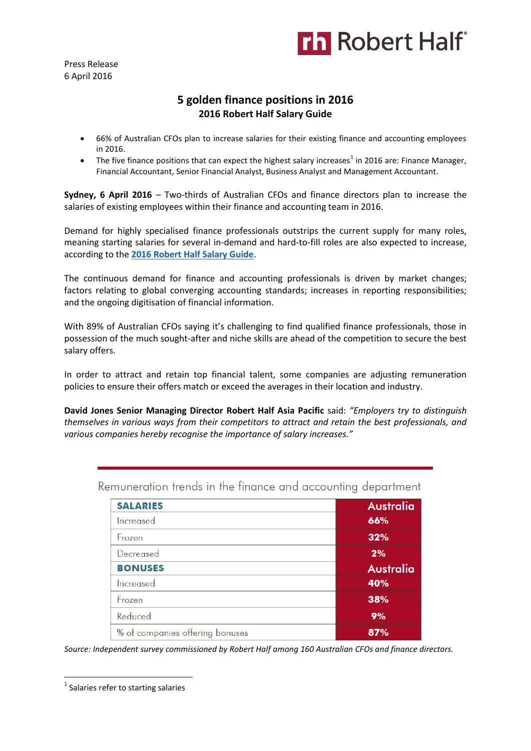

Press Release 6 April 2016

## **5 golden finance positions in 2016 2016 Robert Half Salary Guide**

- 66% of Australian CFOs plan to increase salaries for their existing finance and accounting employees in 2016.
- The five finance positions that can expect the highest salary increases<sup>1</sup> in 2016 are: Finance Manager, Financial Accountant, Senior Financial Analyst, Business Analyst and Management Accountant.

**Sydney, 6 April 2016** – Two-thirds of Australian CFOs and finance directors plan to increase the salaries of existing employees within their finance and accounting team in 2016.

Demand for highly specialised finance professionals outstrips the current supply for many roles, meaning starting salaries for several in-demand and hard-to-fill roles are also expected to increase, according to the **[2016 Robert Half Salary Guide](http://www.roberthalf.com.au/salary-guides?utm_source=pressrelease&utm_medium=referral&utm_campaign=salaryguide)**.

The continuous demand for finance and accounting professionals is driven by market changes; factors relating to global converging accounting standards; increases in reporting responsibilities; and the ongoing digitisation of financial information.

With 89% of Australian CFOs saying it's challenging to find qualified finance professionals, those in possession of the much sought-after and niche skills are ahead of the competition to secure the best salary offers.

In order to attract and retain top financial talent, some companies are adjusting remuneration policies to ensure their offers match or exceed the averages in their location and industry.

**David Jones Senior Managing Director Robert Half Asia Pacific** said: *"Employers try to distinguish themselves in various ways from their competitors to attract and retain the best professionals, and various companies hereby recognise the importance of salary increases."*

| <b>SALARIES</b>                 | Australia        |
|---------------------------------|------------------|
| Increased                       | 66%              |
| Frozen                          | 32%              |
| Decreased                       | 2%               |
| <b>BONUSES</b>                  | <b>Australia</b> |
| Increased                       | 40%              |
| Frozen                          | 38%              |
| Reduced                         | 9%               |
| % of companies offering bonuses | 87%              |

Remuneration trends in the finance and accounting department

*Source: Independent survey commissioned by Robert Half among 160 Australian CFOs and finance directors.*

**.** 

<sup>&</sup>lt;sup>1</sup> Salaries refer to starting salaries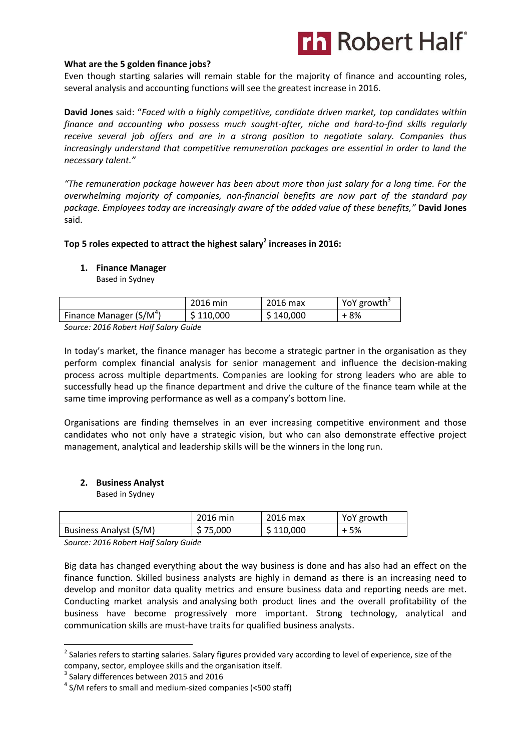## **Th Robert Half**

### **What are the 5 golden finance jobs?**

Even though starting salaries will remain stable for the majority of finance and accounting roles, several analysis and accounting functions will see the greatest increase in 2016.

**David Jones** said: "*Faced with a highly competitive, candidate driven market, top candidates within finance and accounting who possess much sought-after, niche and hard-to-find skills regularly receive several job offers and are in a strong position to negotiate salary. Companies thus increasingly understand that competitive remuneration packages are essential in order to land the necessary talent."*

*"The remuneration package however has been about more than just salary for a long time. For the overwhelming majority of companies, non-financial benefits are now part of the standard pay package. Employees today are increasingly aware of the added value of these benefits,"* **David Jones**  said.

## **Top 5 roles expected to attract the highest salary<sup>2</sup> increases in 2016:**

#### **1. Finance Manager**

Based in Sydney

|                           | 2016 min  | 2016 max  | YoY growth <sup>3</sup> |
|---------------------------|-----------|-----------|-------------------------|
| Finance Manager $(S/M^4)$ | \$110,000 | \$140,000 | + 8%                    |
| $-0.15 - 1.11$            |           |           |                         |

*Source: 2016 Robert Half Salary Guide*

In today's market, the finance manager has become a strategic partner in the organisation as they perform complex financial analysis for senior management and influence the decision-making process across multiple departments. Companies are looking for strong leaders who are able to successfully head up the finance department and drive the culture of the finance team while at the same time improving performance as well as a company's bottom line.

Organisations are finding themselves in an ever increasing competitive environment and those candidates who not only have a strategic vision, but who can also demonstrate effective project management, analytical and leadership skills will be the winners in the long run.

#### **2. Business Analyst**

Based in Sydney

|                        | 2016 min | 2016 max  | YoY growth |
|------------------------|----------|-----------|------------|
| Business Analyst (S/M) | \$75,000 | \$110,000 | + 5%       |

*Source: 2016 Robert Half Salary Guide* 

Big data has changed everything about the way business is done and has also had an effect on the finance function. Skilled business analysts are highly in demand as there is an increasing need to develop and monitor data quality metrics and ensure business data and reporting needs are met. Conducting market analysis and analysing both product lines and the overall profitability of the business have become progressively more important. Strong technology, analytical and communication skills are must-have traits for qualified business analysts.

1

<sup>&</sup>lt;sup>2</sup> Salaries refers to starting salaries. Salary figures provided vary according to level of experience, size of the company, sector, employee skills and the organisation itself.

 $3$  Salary differences between 2015 and 2016

<sup>&</sup>lt;sup>4</sup> S/M refers to small and medium-sized companies (<500 staff)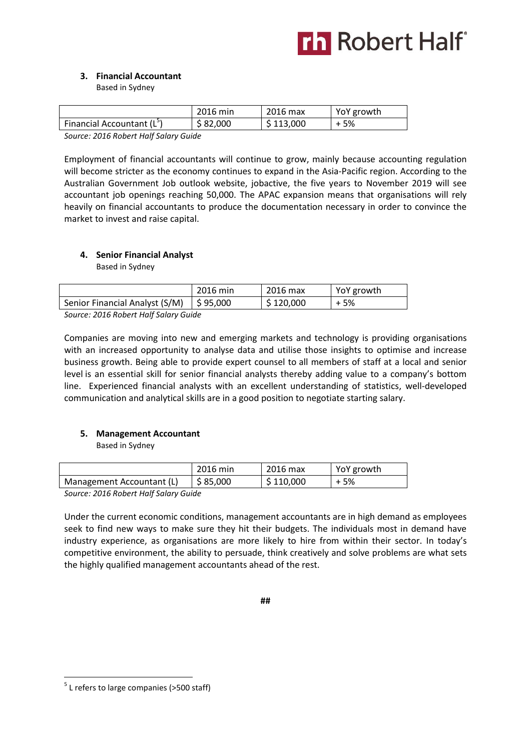# **Th** Robert Half

## **3. Financial Accountant**

Based in Sydney

|                              | 2016 min | 2016 max  | YoY growth |
|------------------------------|----------|-----------|------------|
| Financial Accountant $(L^5)$ | \$82,000 | \$113,000 | + 5%       |
| ---------------              |          |           |            |

*Source: 2016 Robert Half Salary Guide* 

Employment of financial accountants will continue to grow, mainly because accounting regulation will become stricter as the economy continues to expand in the Asia-Pacific region. According to the Australian Government Job outlook website, jobactive, the five years to November 2019 will see accountant job openings reaching 50,000. The APAC expansion means that organisations will rely heavily on financial accountants to produce the documentation necessary in order to convince the market to invest and raise capital.

## **4. Senior Financial Analyst**

Based in Sydney

|                                                                                                                                   | 2016 min | 2016 max                 | YoY growth |
|-----------------------------------------------------------------------------------------------------------------------------------|----------|--------------------------|------------|
| Senior Financial Analyst (S/M)   \$95,000                                                                                         |          | $\frac{1}{2}$ \$ 120,000 | + 5%       |
| $C_{\text{a}11222}$ , $204C_{\text{B}}$ $R_{\text{a}221}$ $11 \text{e}$ $16 \text{C}$ $\text{c}$ $\text{c}$ $\text{d}$ $\text{c}$ |          |                          |            |

*Source: 2016 Robert Half Salary Guide* 

Companies are moving into new and emerging markets and technology is providing organisations with an increased opportunity to analyse data and utilise those insights to optimise and increase business growth. Being able to provide expert counsel to all members of staff at a local and senior level is an essential skill for senior financial analysts thereby adding value to a company's bottom line. Experienced financial analysts with an excellent understanding of statistics, well-developed communication and analytical skills are in a good position to negotiate starting salary.

## **5. Management Accountant**

Based in Sydney

|                           | 2016 min | 2016 max  | YoY growth |
|---------------------------|----------|-----------|------------|
| Management Accountant (L) | \$85,000 | \$110,000 | + 5%       |
| $\cdots$                  |          |           |            |

*Source: 2016 Robert Half Salary Guide* 

Under the current economic conditions, management accountants are in high demand as employees seek to find new ways to make sure they hit their budgets. The individuals most in demand have industry experience, as organisations are more likely to hire from within their sector. In today's competitive environment, the ability to persuade, think creatively and solve problems are what sets the highly qualified management accountants ahead of the rest.

**##**

**.** 

<sup>&</sup>lt;sup>5</sup> L refers to large companies (>500 staff)